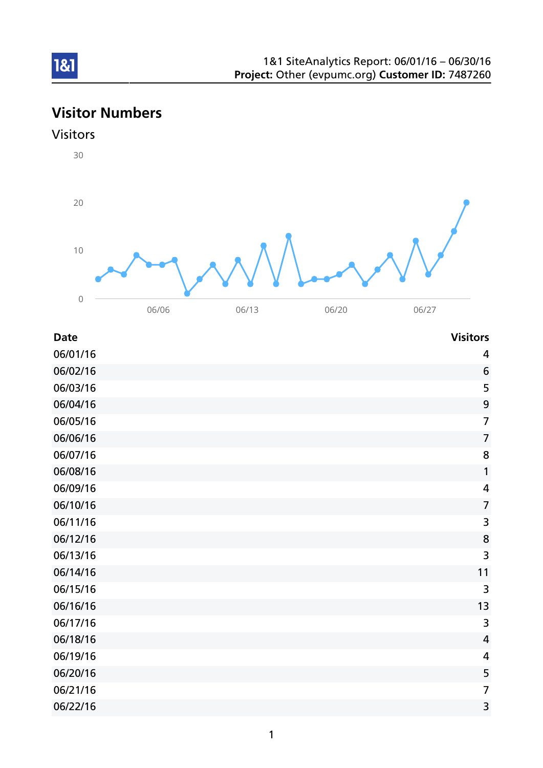# Visitor Numbers





| <b>Date</b> | <b>Visitors</b> |
|-------------|-----------------|
|             |                 |

| 06/01/16 | 4                       |
|----------|-------------------------|
| 06/02/16 | 6                       |
| 06/03/16 | 5                       |
| 06/04/16 | 9                       |
| 06/05/16 | $\overline{7}$          |
| 06/06/16 | $\overline{7}$          |
| 06/07/16 | 8                       |
| 06/08/16 | 1                       |
| 06/09/16 | 4                       |
| 06/10/16 | $\overline{7}$          |
| 06/11/16 | $\overline{\mathbf{3}}$ |
| 06/12/16 | 8                       |
| 06/13/16 | 3                       |
| 06/14/16 | 11                      |
| 06/15/16 | 3                       |
| 06/16/16 | 13                      |
| 06/17/16 | 3                       |
| 06/18/16 | $\overline{4}$          |
| 06/19/16 | 4                       |
| 06/20/16 | 5                       |
| 06/21/16 | $\overline{7}$          |
| 06/22/16 | 3                       |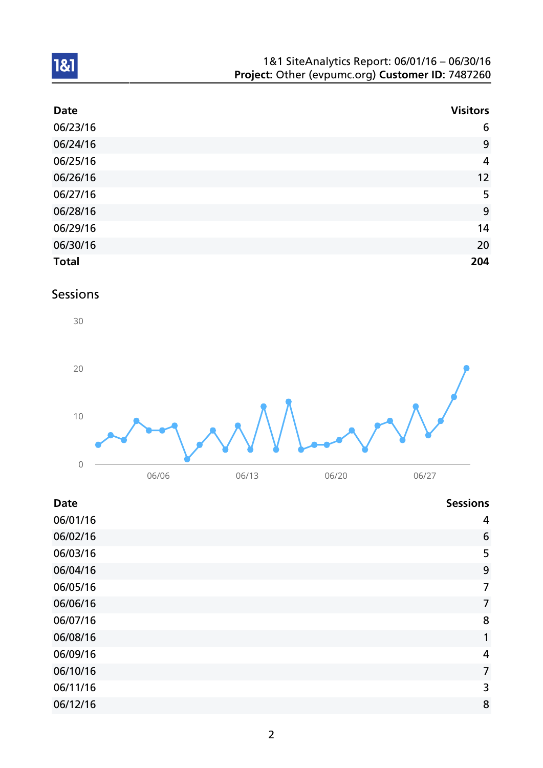| 1&1 SiteAnalytics Report: 06/01/16 - 06/30/16    |  |
|--------------------------------------------------|--|
| Project: Other (evpumc.org) Customer ID: 7487260 |  |

| <b>Date</b>  | <b>Visitors</b> |
|--------------|-----------------|
| 06/23/16     | $6\phantom{1}6$ |
| 06/24/16     | 9               |
| 06/25/16     | $\overline{4}$  |
| 06/26/16     | 12              |
| 06/27/16     | 5               |
| 06/28/16     | 9               |
| 06/29/16     | 14              |
| 06/30/16     | 20              |
| <b>Total</b> | 204             |

## Sessions



| <b>Date</b> | <b>Sessions</b> |
|-------------|-----------------|
| 06/01/16    | 4               |
| 06/02/16    | 6               |
| 06/03/16    | 5               |
| 06/04/16    | 9               |
| 06/05/16    | 7               |
| 06/06/16    | $\overline{7}$  |
| 06/07/16    | 8               |
| 06/08/16    | 1               |
| 06/09/16    | 4               |
| 06/10/16    | $\overline{7}$  |
| 06/11/16    | 3               |
| 06/12/16    | 8               |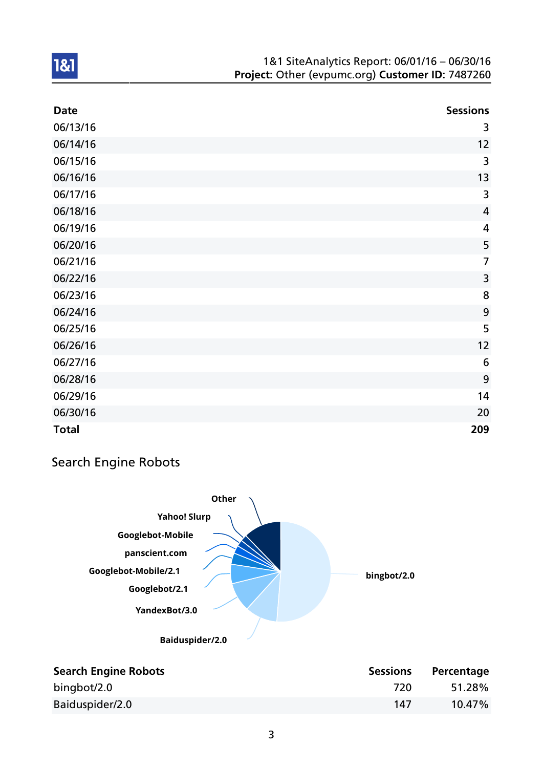| <b>Date</b>  | <b>Sessions</b> |
|--------------|-----------------|
| 06/13/16     | 3               |
| 06/14/16     | 12              |
| 06/15/16     | 3               |
| 06/16/16     | 13              |
| 06/17/16     | 3               |
| 06/18/16     | $\overline{4}$  |
| 06/19/16     | 4               |
| 06/20/16     | 5               |
| 06/21/16     | $\overline{7}$  |
| 06/22/16     | 3               |
| 06/23/16     | 8               |
| 06/24/16     | 9               |
| 06/25/16     | 5               |
| 06/26/16     | 12              |
| 06/27/16     | 6               |
| 06/28/16     | 9               |
| 06/29/16     | 14              |
| 06/30/16     | 20              |
| <b>Total</b> | 209             |

## Search Engine Robots



| <b>Search Engine Robots</b> | <b>Sessions</b> | Percentage |
|-----------------------------|-----------------|------------|
| bingbot/2.0                 | 720             | 51.28%     |
| Baiduspider/2.0             | 147             | $10.47\%$  |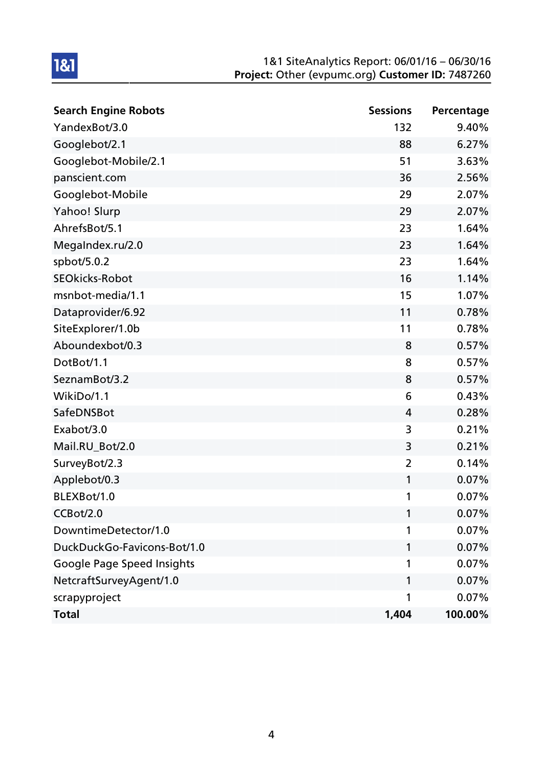| <b>Search Engine Robots</b>       | <b>Sessions</b> | Percentage |
|-----------------------------------|-----------------|------------|
| YandexBot/3.0                     | 132             | 9.40%      |
| Googlebot/2.1                     | 88              | 6.27%      |
| Googlebot-Mobile/2.1              | 51              | 3.63%      |
| panscient.com                     | 36              | 2.56%      |
| Googlebot-Mobile                  | 29              | 2.07%      |
| Yahoo! Slurp                      | 29              | 2.07%      |
| AhrefsBot/5.1                     | 23              | 1.64%      |
| MegaIndex.ru/2.0                  | 23              | 1.64%      |
| spbot/5.0.2                       | 23              | 1.64%      |
| <b>SEOkicks-Robot</b>             | 16              | 1.14%      |
| msnbot-media/1.1                  | 15              | 1.07%      |
| Dataprovider/6.92                 | 11              | 0.78%      |
| SiteExplorer/1.0b                 | 11              | 0.78%      |
| Aboundexbot/0.3                   | 8               | 0.57%      |
| DotBot/1.1                        | 8               | 0.57%      |
| SeznamBot/3.2                     | 8               | 0.57%      |
| WikiDo/1.1                        | 6               | 0.43%      |
| SafeDNSBot                        | 4               | 0.28%      |
| Exabot/3.0                        | 3               | 0.21%      |
| Mail.RU_Bot/2.0                   | 3               | 0.21%      |
| SurveyBot/2.3                     | $\overline{2}$  | 0.14%      |
| Applebot/0.3                      | 1               | 0.07%      |
| BLEXBot/1.0                       | 1               | 0.07%      |
| CCBot/2.0                         | 1               | 0.07%      |
| DowntimeDetector/1.0              | 1               | 0.07%      |
| DuckDuckGo-Favicons-Bot/1.0       | 1               | 0.07%      |
| <b>Google Page Speed Insights</b> | 1               | 0.07%      |
| NetcraftSurveyAgent/1.0           | 1               | 0.07%      |
| scrapyproject                     | 1               | 0.07%      |
| <b>Total</b>                      | 1,404           | 100.00%    |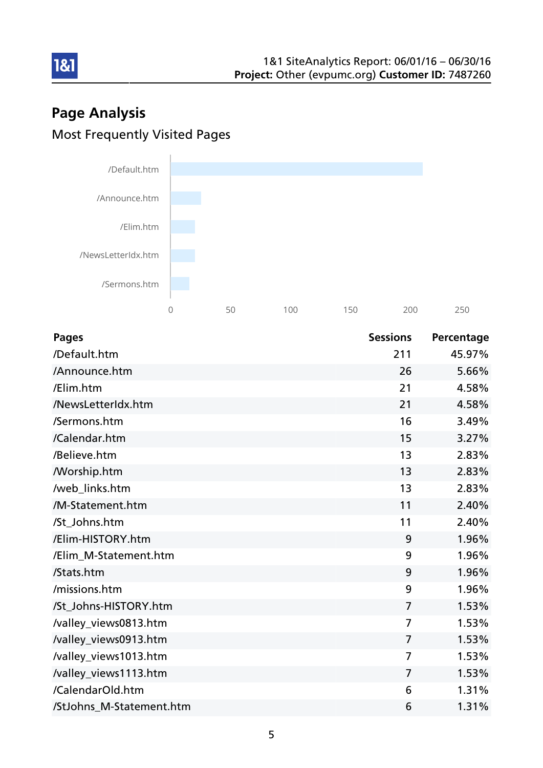# Page Analysis Most Frequently Visited Pages



| <b>Pages</b>             | <b>Sessions</b> | Percentage |
|--------------------------|-----------------|------------|
| /Default.htm             | 211             | 45.97%     |
| /Announce.htm            | 26              | 5.66%      |
| /Elim.htm                | 21              | 4.58%      |
| /NewsLetterIdx.htm       | 21              | 4.58%      |
| /Sermons.htm             | 16              | 3.49%      |
| /Calendar.htm            | 15              | 3.27%      |
| /Believe.htm             | 13              | 2.83%      |
| <b>Morship.htm</b>       | 13              | 2.83%      |
| /web_links.htm           | 13              | 2.83%      |
| /M-Statement.htm         | 11              | 2.40%      |
| /St_Johns.htm            | 11              | 2.40%      |
| /Elim-HISTORY.htm        | 9               | 1.96%      |
| /Elim_M-Statement.htm    | 9               | 1.96%      |
| /Stats.htm               | 9               | 1.96%      |
| /missions.htm            | 9               | 1.96%      |
| /St_Johns-HISTORY.htm    | $\overline{7}$  | 1.53%      |
| /valley_views0813.htm    | $\overline{7}$  | 1.53%      |
| /valley_views0913.htm    | $\overline{7}$  | 1.53%      |
| /valley_views1013.htm    | $\overline{7}$  | 1.53%      |
| /valley_views1113.htm    | $\overline{7}$  | 1.53%      |
| /CalendarOld.htm         | 6               | 1.31%      |
| /StJohns_M-Statement.htm | 6               | 1.31%      |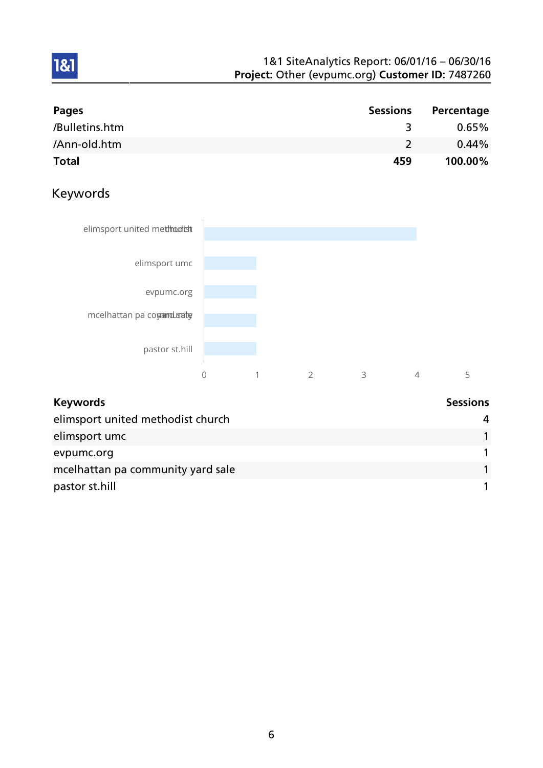| Pages          | <b>Sessions</b> | Percentage |
|----------------|-----------------|------------|
| /Bulletins.htm |                 | $0.65\%$   |
| /Ann-old.htm   |                 | $0.44\%$   |
| <b>Total</b>   | 459             | 100.00%    |

## Keywords



| <b>Keywords</b>                   | <b>Sessions</b> |
|-----------------------------------|-----------------|
| elimsport united methodist church | 4               |
| elimsport umc                     |                 |
| evpumc.org                        |                 |
| mcelhattan pa community yard sale |                 |
| pastor st.hill                    |                 |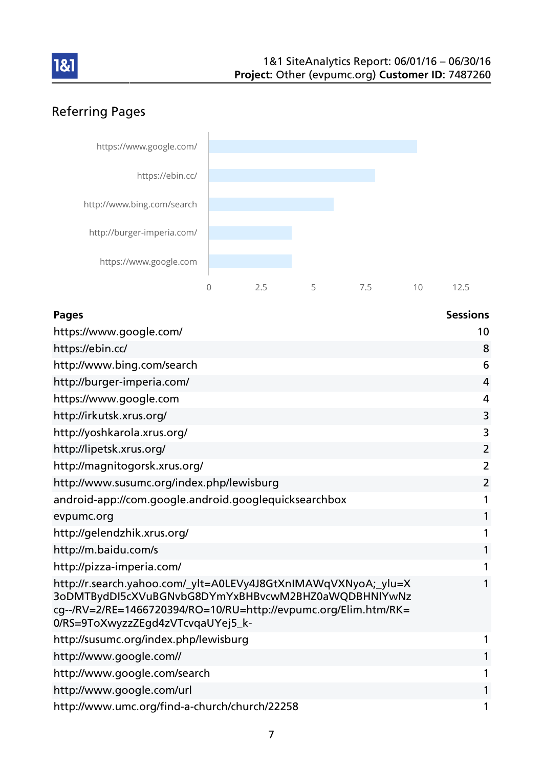

# Referring Pages



### Pages and the contract of the contract of the contract of the contract of the contract of the contract of the contract of the contract of the contract of the contract of the contract of the contract of the contract of the

| https://www.google.com/                                                                                                                                                                                                       | 10             |
|-------------------------------------------------------------------------------------------------------------------------------------------------------------------------------------------------------------------------------|----------------|
| https://ebin.cc/                                                                                                                                                                                                              | 8              |
| http://www.bing.com/search                                                                                                                                                                                                    | 6              |
| http://burger-imperia.com/                                                                                                                                                                                                    | $\overline{4}$ |
| https://www.google.com                                                                                                                                                                                                        | 4              |
| http://irkutsk.xrus.org/                                                                                                                                                                                                      | 3              |
| http://yoshkarola.xrus.org/                                                                                                                                                                                                   | 3              |
| http://lipetsk.xrus.org/                                                                                                                                                                                                      | 2              |
| http://magnitogorsk.xrus.org/                                                                                                                                                                                                 | $\overline{2}$ |
| http://www.susumc.org/index.php/lewisburg                                                                                                                                                                                     | $\overline{2}$ |
| android-app://com.google.android.googlequicksearchbox                                                                                                                                                                         | 1              |
| evpumc.org                                                                                                                                                                                                                    | 1              |
| http://gelendzhik.xrus.org/                                                                                                                                                                                                   | 1              |
| http://m.baidu.com/s                                                                                                                                                                                                          | 1              |
| http://pizza-imperia.com/                                                                                                                                                                                                     | 1              |
| http://r.search.yahoo.com/_ylt=A0LEVy4J8GtXnIMAWqVXNyoA;_ylu=X<br>3oDMTBydDI5cXVuBGNvbG8DYmYxBHBvcwM2BHZ0aWQDBHNlYwNz<br>cg--/RV=2/RE=1466720394/RO=10/RU=http://evpumc.org/Elim.htm/RK=<br>0/RS=9ToXwyzzZEgd4zVTcvqaUYej5_k- | $\mathbf{1}$   |
| http://susumc.org/index.php/lewisburg                                                                                                                                                                                         | 1              |
| http://www.google.com//                                                                                                                                                                                                       | 1              |
| http://www.google.com/search                                                                                                                                                                                                  | 1              |
| http://www.google.com/url                                                                                                                                                                                                     | 1              |
| http://www.umc.org/find-a-church/church/22258                                                                                                                                                                                 | 1              |
|                                                                                                                                                                                                                               |                |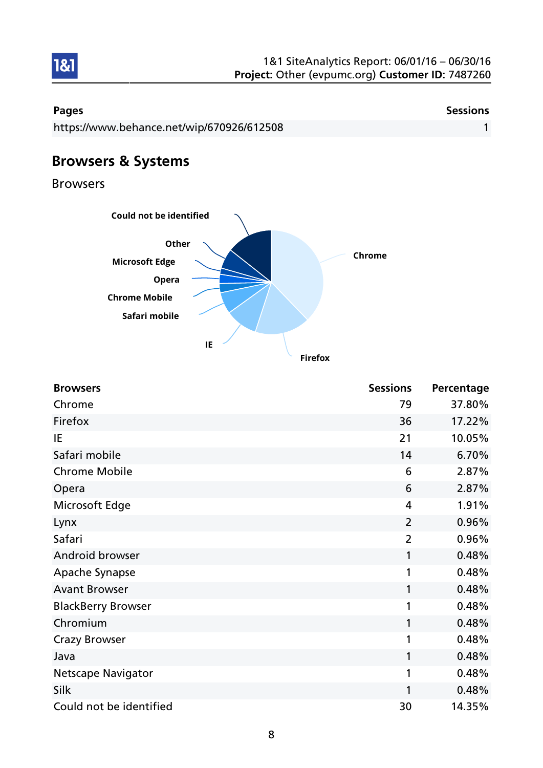

| Pages                                     | <b>Sessions</b> |
|-------------------------------------------|-----------------|
| https://www.behance.net/wip/670926/612508 |                 |
|                                           |                 |

# Browsers & Systems

Browsers



| <b>Browsers</b>           | <b>Sessions</b> | Percentage |
|---------------------------|-----------------|------------|
| Chrome                    | 79              | 37.80%     |
| Firefox                   | 36              | 17.22%     |
| IE                        | 21              | 10.05%     |
| Safari mobile             | 14              | 6.70%      |
| <b>Chrome Mobile</b>      | 6               | 2.87%      |
| Opera                     | 6               | 2.87%      |
| Microsoft Edge            | 4               | 1.91%      |
| Lynx                      | $\overline{2}$  | 0.96%      |
| Safari                    | $\overline{2}$  | 0.96%      |
| Android browser           | 1               | 0.48%      |
| Apache Synapse            | 1               | 0.48%      |
| <b>Avant Browser</b>      | 1               | 0.48%      |
| <b>BlackBerry Browser</b> | 1               | 0.48%      |
| Chromium                  | 1               | 0.48%      |
| <b>Crazy Browser</b>      | 1               | 0.48%      |
| Java                      | 1               | 0.48%      |
| <b>Netscape Navigator</b> | 1               | 0.48%      |
| Silk                      | 1               | 0.48%      |
| Could not be identified   | 30              | 14.35%     |

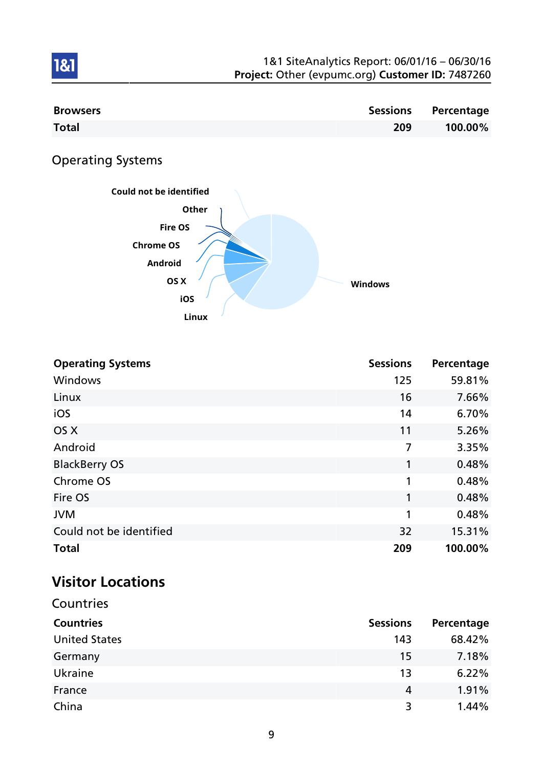| 1&1 SiteAnalytics Report: 06/01/16 - 06/30/16    |  |
|--------------------------------------------------|--|
| Project: Other (evpumc.org) Customer ID: 7487260 |  |

| <b>Browsers</b> |     | Sessions Percentage |
|-----------------|-----|---------------------|
| <b>Total</b>    | 209 | 100.00%             |

# Operating Systems

1&1



| <b>Operating Systems</b> | <b>Sessions</b> | Percentage |
|--------------------------|-----------------|------------|
| Windows                  | 125             | 59.81%     |
| Linux                    | 16              | 7.66%      |
| iOS                      | 14              | 6.70%      |
| OS X                     | 11              | 5.26%      |
| Android                  | 7               | 3.35%      |
| <b>BlackBerry OS</b>     | 1               | 0.48%      |
| Chrome OS                | 1               | 0.48%      |
| Fire OS                  | 1               | 0.48%      |
| <b>JVM</b>               | 1               | 0.48%      |
| Could not be identified  | 32              | 15.31%     |
| <b>Total</b>             | 209             | 100.00%    |

# Visitor Locations

| Countries            |                 |            |
|----------------------|-----------------|------------|
| <b>Countries</b>     | <b>Sessions</b> | Percentage |
| <b>United States</b> | 143             | 68.42%     |
| Germany              | 15              | 7.18%      |
| Ukraine              | 13              | 6.22%      |
| France               | 4               | 1.91%      |
| China                | 3               | 1.44%      |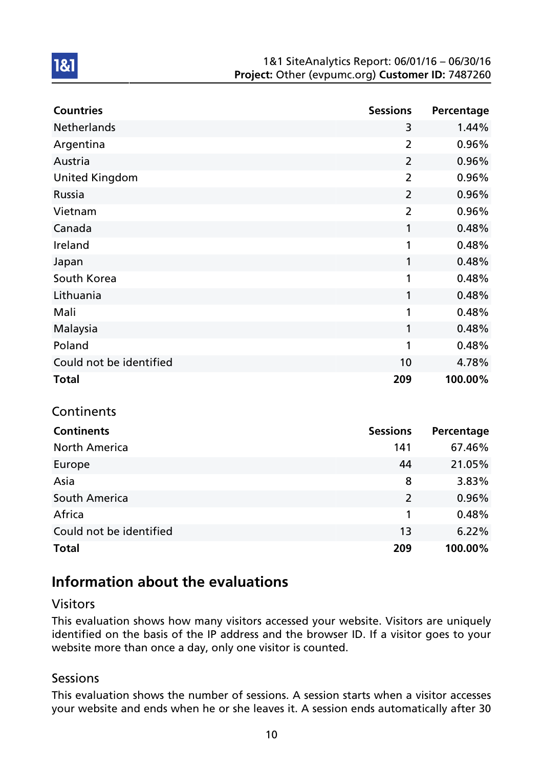| <b>Countries</b>        | <b>Sessions</b> | Percentage |
|-------------------------|-----------------|------------|
| <b>Netherlands</b>      | 3               | 1.44%      |
| Argentina               | $\overline{2}$  | 0.96%      |
| Austria                 | $\overline{2}$  | 0.96%      |
| <b>United Kingdom</b>   | $\overline{2}$  | 0.96%      |
| Russia                  | $\overline{2}$  | 0.96%      |
| Vietnam                 | $\overline{2}$  | 0.96%      |
| Canada                  | 1               | 0.48%      |
| Ireland                 | 1               | 0.48%      |
| Japan                   | 1               | 0.48%      |
| South Korea             | 1               | 0.48%      |
| Lithuania               | 1               | 0.48%      |
| Mali                    | 1               | 0.48%      |
| Malaysia                | 1               | 0.48%      |
| Poland                  | 1               | 0.48%      |
| Could not be identified | 10              | 4.78%      |
| <b>Total</b>            | 209             | 100.00%    |

# Continents

1&1

| <b>Continents</b>       | <b>Sessions</b> | Percentage |
|-------------------------|-----------------|------------|
| <b>North America</b>    | 141             | 67.46%     |
| Europe                  | 44              | 21.05%     |
| Asia                    | 8               | 3.83%      |
| South America           | $\overline{2}$  | 0.96%      |
| Africa                  | 1               | 0.48%      |
| Could not be identified | 13              | 6.22%      |
| <b>Total</b>            | 209             | 100.00%    |

## Information about the evaluations

### Visitors

This evaluation shows how many visitors accessed your website. Visitors are uniquely identified on the basis of the IP address and the browser ID. If a visitor goes to your website more than once a day, only one visitor is counted.

### **Sessions**

This evaluation shows the number of sessions. A session starts when a visitor accesses your website and ends when he or she leaves it. A session ends automatically after 30